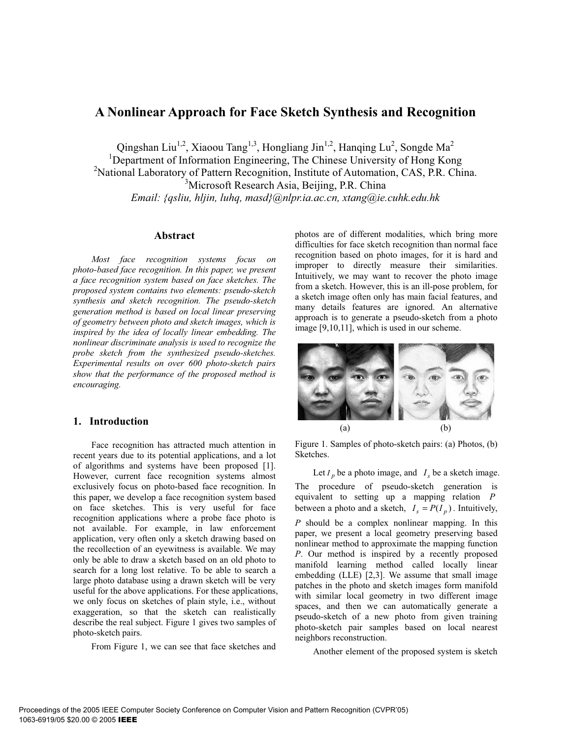# **A Nonlinear Approach for Face Sketch Synthesis and Recognition**

Qingshan Liu<sup>1,2</sup>, Xiaoou Tang<sup>1,3</sup>, Hongliang Jin<sup>1,2</sup>, Hanqing Lu<sup>2</sup>, Songde Ma<sup>2</sup>

<sup>1</sup>Department of Information Engineering, The Chinese University of Hong Kong

<sup>2</sup>National Laboratory of Pattern Recognition, Institute of Automation, CAS, P.R. China.

<sup>3</sup>Microsoft Research Asia, Beijing, P.R. China

*Email: {qsliu, hljin, luhq, masd}@nlpr.ia.ac.cn, xtang@ie.cuhk.edu.hk* 

#### **Abstract**

*Most face recognition systems focus on photo-based face recognition. In this paper, we present a face recognition system based on face sketches. The proposed system contains two elements: pseudo-sketch synthesis and sketch recognition. The pseudo-sketch generation method is based on local linear preserving of geometry between photo and sketch images, which is inspired by the idea of locally linear embedding. The nonlinear discriminate analysis is used to recognize the probe sketch from the synthesized pseudo-sketches. Experimental results on over 600 photo-sketch pairs show that the performance of the proposed method is encouraging.* 

## **1. Introduction**

Face recognition has attracted much attention in recent years due to its potential applications, and a lot of algorithms and systems have been proposed [1]. However, current face recognition systems almost exclusively focus on photo-based face recognition. In this paper, we develop a face recognition system based on face sketches. This is very useful for face recognition applications where a probe face photo is not available. For example, in law enforcement application, very often only a sketch drawing based on the recollection of an eyewitness is available. We may only be able to draw a sketch based on an old photo to search for a long lost relative. To be able to search a large photo database using a drawn sketch will be very useful for the above applications. For these applications, we only focus on sketches of plain style, i.e., without exaggeration, so that the sketch can realistically describe the real subject. Figure 1 gives two samples of photo-sketch pairs.

From Figure 1, we can see that face sketches and

photos are of different modalities, which bring more difficulties for face sketch recognition than normal face recognition based on photo images, for it is hard and improper to directly measure their similarities. Intuitively, we may want to recover the photo image from a sketch. However, this is an ill-pose problem, for a sketch image often only has main facial features, and many details features are ignored. An alternative approach is to generate a pseudo-sketch from a photo image [9,10,11], which is used in our scheme.



Figure 1. Samples of photo-sketch pairs: (a) Photos, (b) Sketches.

Let  $I_p$  be a photo image, and  $I_s$  be a sketch image. The procedure of pseudo-sketch generation is equivalent to setting up a mapping relation *P* between a photo and a sketch,  $I_s = P(I_p)$ . Intuitively, *P* should be a complex nonlinear mapping. In this paper, we present a local geometry preserving based nonlinear method to approximate the mapping function *P*. Our method is inspired by a recently proposed manifold learning method called locally linear embedding (LLE) [2,3]. We assume that small image patches in the photo and sketch images form manifold with similar local geometry in two different image spaces, and then we can automatically generate a pseudo-sketch of a new photo from given training photo-sketch pair samples based on local nearest neighbors reconstruction.

Another element of the proposed system is sketch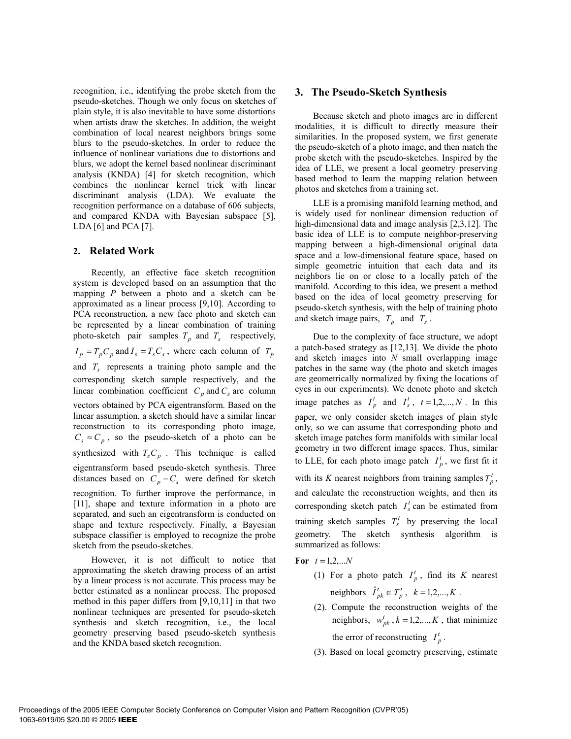recognition, i.e., identifying the probe sketch from the pseudo-sketches. Though we only focus on sketches of plain style, it is also inevitable to have some distortions when artists draw the sketches. In addition, the weight combination of local nearest neighbors brings some blurs to the pseudo-sketches. In order to reduce the influence of nonlinear variations due to distortions and blurs, we adopt the kernel based nonlinear discriminant analysis (KNDA) [4] for sketch recognition, which combines the nonlinear kernel trick with linear discriminant analysis (LDA). We evaluate the recognition performance on a database of 606 subjects, and compared KNDA with Bayesian subspace [5], LDA [6] and PCA [7].

## **2. Related Work**

Recently, an effective face sketch recognition system is developed based on an assumption that the mapping *P* between a photo and a sketch can be approximated as a linear process [9,10]. According to PCA reconstruction, a new face photo and sketch can be represented by a linear combination of training photo-sketch pair samples  $T_p$  and  $T_s$  respectively,  $I_p = T_p C_p$  and  $I_s = T_s C_s$ , where each column of  $T_p$ and  $T_s$  represents a training photo sample and the corresponding sketch sample respectively, and the linear combination coefficient  $C_p$  and  $C_s$  are column vectors obtained by PCA eigentransform. Based on the linear assumption, a sketch should have a similar linear reconstruction to its corresponding photo image,  $C_s \approx C_p$ , so the pseudo-sketch of a photo can be synthesized with  $T_sC_p$ . This technique is called eigentransform based pseudo-sketch synthesis. Three distances based on  $C_p - C_s$  were defined for sketch recognition. To further improve the performance, in [11], shape and texture information in a photo are separated, and such an eigentransform is conducted on shape and texture respectively. Finally, a Bayesian subspace classifier is employed to recognize the probe sketch from the pseudo-sketches.

However, it is not difficult to notice that approximating the sketch drawing process of an artist by a linear process is not accurate. This process may be better estimated as a nonlinear process. The proposed method in this paper differs from [9,10,11] in that two nonlinear techniques are presented for pseudo-sketch synthesis and sketch recognition, i.e., the local geometry preserving based pseudo-sketch synthesis and the KNDA based sketch recognition.

## **3. The Pseudo-Sketch Synthesis**

Because sketch and photo images are in different modalities, it is difficult to directly measure their similarities. In the proposed system, we first generate the pseudo-sketch of a photo image, and then match the probe sketch with the pseudo-sketches. Inspired by the idea of LLE, we present a local geometry preserving based method to learn the mapping relation between photos and sketches from a training set.

LLE is a promising manifold learning method, and is widely used for nonlinear dimension reduction of high-dimensional data and image analysis [2,3,12]. The basic idea of LLE is to compute neighbor-preserving mapping between a high-dimensional original data space and a low-dimensional feature space, based on simple geometric intuition that each data and its neighbors lie on or close to a locally patch of the manifold. According to this idea, we present a method based on the idea of local geometry preserving for pseudo-sketch synthesis, with the help of training photo and sketch image pairs,  $T_p$  and  $T_s$ .

Due to the complexity of face structure, we adopt a patch-based strategy as [12,13]. We divide the photo and sketch images into *N* small overlapping image patches in the same way (the photo and sketch images are geometrically normalized by fixing the locations of eyes in our experiments). We denote photo and sketch image patches as  $I_p^t$  and  $I_s^t$ ,  $t = 1, 2, ..., N$ . In this paper, we only consider sketch images of plain style only, so we can assume that corresponding photo and sketch image patches form manifolds with similar local geometry in two different image spaces. Thus, similar to LLE, for each photo image patch  $I_p^t$ , we first fit it with its *K* nearest neighbors from training samples  $T_p^t$ , and calculate the reconstruction weights, and then its corresponding sketch patch  $I_s^t$  can be estimated from training sketch samples  $T_s^t$  by preserving the local geometry. The sketch synthesis algorithm is summarized as follows:

**For**  $t = 1, 2, ...N$ 

- (1) For a photo patch  $I_p^t$ , find its *K* nearest neighbors  $\hat{I}_{pk}^{t} \in T_p^t$ ,  $k = 1, 2, ..., K$ .
- (2). Compute the reconstruction weights of the neighbors,  $w_{pk}^t$ ,  $k = 1,2,...,K$ , that minimize the error of reconstructing  $I_p^t$ .
- (3). Based on local geometry preserving, estimate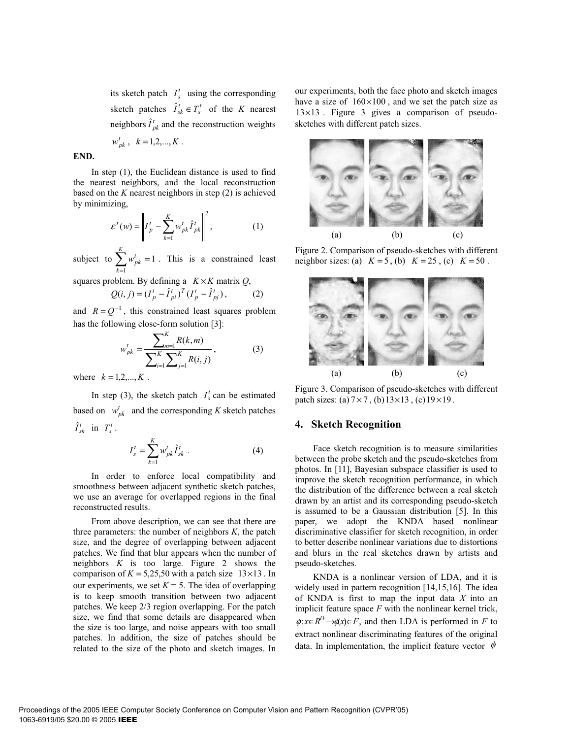its sketch patch  $I_s^t$  using the corresponding sketch patches  $\hat{I}_{sk}^t \in T_s^t$  of the *K* nearest neighbors  $\hat{I}_{pk}^{t}$  and the reconstruction weights

$$
w_{pk}^t
$$
,  $k = 1, 2, ..., K$ .

# **END.**

In step (1), the Euclidean distance is used to find the nearest neighbors, and the local reconstruction based on the *K* nearest neighbors in step (2) is achieved by minimizing,

$$
\varepsilon^{t}(w) = \left\| I_p^t - \sum_{k=1}^K w_{pk}^t \hat{I}_{pk}^t \right\|^2, \qquad (1)
$$

subject to  $\sum w_{pk}^i = 1$  $\sum_{k=1} w_{pk}^t =$ *K k*  $w_{pk}^{t} = 1$ . This is a constrained least

squares problem. By defining a  $K \times K$  matrix  $Q$ ,

$$
Q(i, j) = (I_p^t - \hat{I}_{pi}^t)^T (I_p^t - \hat{I}_{pj}^t),
$$
 (2)

and  $R = Q^{-1}$ , this constrained least squares problem has the following close-form solution [3]:

$$
w_{pk}^{t} = \frac{\sum_{m=1}^{K} R(k, m)}{\sum_{i=1}^{K} \sum_{j=1}^{K} R(i, j)},
$$
 (3)

where  $k = 1, 2, ..., K$ .

In step (3), the sketch patch  $I_s^t$  can be estimated based on  $w_{pk}^t$  and the corresponding *K* sketch patches  $\hat{I}_{sk}^t$  in  $T_s^t$ .

$$
I_s^t = \sum_{k=1}^K w_{pk}^t \hat{I}_{sk}^t .
$$
 (4)

In order to enforce local compatibility and smoothness between adjacent synthetic sketch patches, we use an average for overlapped regions in the final reconstructed results.

From above description, we can see that there are three parameters: the number of neighbors *K*, the patch size, and the degree of overlapping between adjacent patches. We find that blur appears when the number of neighbors *K* is too large. Figure 2 shows the comparison of  $K = 5,25,50$  with a patch size 13×13. In our experiments, we set  $K = 5$ . The idea of overlapping is to keep smooth transition between two adjacent patches. We keep 2/3 region overlapping. For the patch size, we find that some details are disappeared when the size is too large, and noise appears with too small patches. In addition, the size of patches should be related to the size of the photo and sketch images. In

our experiments, both the face photo and sketch images have a size of  $160\times100$ , and we set the patch size as 13×13 . Figure 3 gives a comparison of pseudosketches with different patch sizes.



Figure 2. Comparison of pseudo-sketches with different neighbor sizes: (a)  $K = 5$ , (b)  $K = 25$ , (c)  $K = 50$ .



Figure 3. Comparison of pseudo-sketches with different patch sizes: (a)  $7 \times 7$ , (b)  $13 \times 13$ , (c)  $19 \times 19$ .

#### **4. Sketch Recognition**

Face sketch recognition is to measure similarities between the probe sketch and the pseudo-sketches from photos. In [11], Bayesian subspace classifier is used to improve the sketch recognition performance, in which the distribution of the difference between a real sketch drawn by an artist and its corresponding pseudo-sketch is assumed to be a Gaussian distribution [5]. In this paper, we adopt the KNDA based nonlinear discriminative classifier for sketch recognition, in order to better describe nonlinear variations due to distortions and blurs in the real sketches drawn by artists and pseudo-sketches.

KNDA is a nonlinear version of LDA, and it is widely used in pattern recognition [14,15,16]. The idea of KNDA is first to map the input data *X* into an implicit feature space *F* with the nonlinear kernel trick,  $\phi: x \in R^D \rightarrow \phi(x) \in F$ , and then LDA is performed in *F* to extract nonlinear discriminating features of the original data. In implementation, the implicit feature vector  $\phi$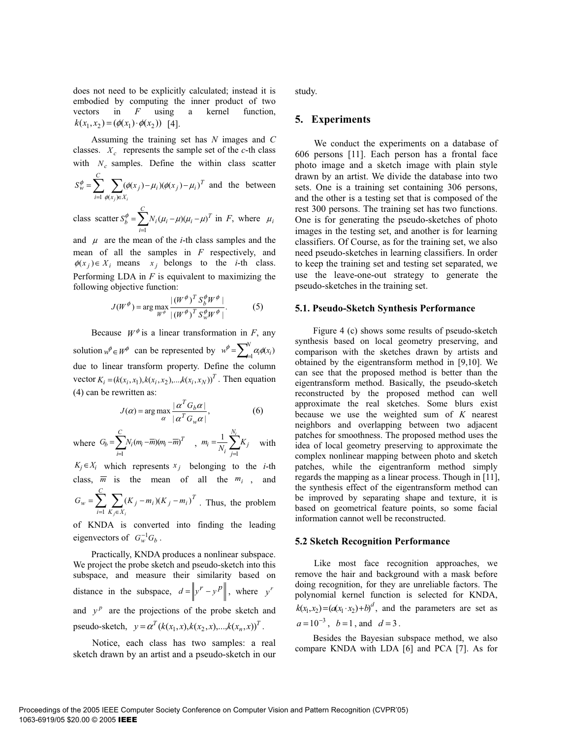does not need to be explicitly calculated; instead it is embodied by computing the inner product of two vectors in *F* using a kernel function,  $k(x_1, x_2) = (\phi(x_1) \cdot \phi(x_2))$  [4].

Assuming the training set has *N* images and *C* classes.  $X_c$  represents the sample set of the *c*-th class with  $N_c$  samples. Define the within class scatter

$$
S_w^{\phi} = \sum_{i=1}^{C} \sum_{\phi(x_j) \in X_i} (\phi(x_j) - \mu_i)(\phi(x_j) - \mu_i)^T
$$
 and the between

class scatter 
$$
S_b^{\phi} = \sum_{i=1}^{C} N_i (\mu_i - \mu) (\mu_i - \mu)^T
$$
 in *F*, where  $\mu_i$ 

and  $\mu$  are the mean of the *i*-th class samples and the mean of all the samples in *F* respectively, and  $\phi(x_i) \in X_i$  means  $x_i$  belongs to the *i*-th class. Performing LDA in *F* is equivalent to maximizing the following objective function:

$$
J(W^{\phi}) = \arg \max_{W^{\phi}} \frac{|(W^{\phi})^T S_{b}^{\phi} W^{\phi}|}{|(W^{\phi})^T S_{w}^{\phi} W^{\phi}|}. \tag{5}
$$

Because  $W^{\phi}$  is a linear transformation in *F*, any solution  $w^{\phi} \in W^{\phi}$  can be represented by  $w^{\phi} = \sum_{i=1}^{N} \alpha_i \phi(x_i)$ due to linear transform property. Define the column vector  $K_i = (k(x_i, x_1), k(x_i, x_2), \dots, k(x_i, x_N))^T$ . Then equation (4) can be rewritten as:

$$
J(\alpha) = \arg \max_{\alpha} \frac{|\alpha^T G_b \alpha|}{|\alpha^T G_w \alpha|},
$$
 (6)

where 
$$
G_b = \sum_{i=1}^{C} N_i (m_i - \overline{m}) (m_i - \overline{m})^T
$$
,  $m_i = \frac{1}{N_i} \sum_{j=1}^{N_i} K_j$  with

 $K_j \in X_i$  which represents  $x_j$  belonging to the *i*-th class,  $\overline{m}$  is the mean of all the  $m_i$ , and  $=\sum_{i=1}^{n} \sum_{K_j \in X_i} (K_j - m_i)(K_j -$ *C*  $i=1$   $K_i \in X$  $W_w = \sum_{i=1}^{n} \sum_{j=1}^{n} (K_j - m_i)(K_j - m_i)^T$  *∈*  $\Lambda$  $*i*$  $G_w = \sum_{i=1}^{n} (K_i - m_i)(K_i - m_i)$ 1  $(K_j - m_i)(K_j - m_i)^T$ . Thus, the problem

of KNDA is converted into finding the leading eigenvectors of  $G_w^{-1}G_b$ .

Practically, KNDA produces a nonlinear subspace. We project the probe sketch and pseudo-sketch into this subspace, and measure their similarity based on distance in the subspace,  $d = \left\| y^r - y^p \right\|$ , where  $y^r$ and  $y^p$  are the projections of the probe sketch and pseudo-sketch,  $y = \alpha^T (k(x_1, x), k(x_2, x), \dots, k(x_n, x))^T$ .

Notice, each class has two samples: a real sketch drawn by an artist and a pseudo-sketch in our study.

#### **5. Experiments**

We conduct the experiments on a database of 606 persons [11]. Each person has a frontal face photo image and a sketch image with plain style drawn by an artist. We divide the database into two sets. One is a training set containing 306 persons, and the other is a testing set that is composed of the rest 300 persons. The training set has two functions. One is for generating the pseudo-sketches of photo images in the testing set, and another is for learning classifiers. Of Course, as for the training set, we also need pseudo-sketches in learning classifiers. In order to keep the training set and testing set separated, we use the leave-one-out strategy to generate the pseudo-sketches in the training set.

#### **5.1. Pseudo-Sketch Synthesis Performance**

Figure 4 (c) shows some results of pseudo-sketch synthesis based on local geometry preserving, and comparison with the sketches drawn by artists and obtained by the eigentransform method in [9,10]. We can see that the proposed method is better than the eigentransform method. Basically, the pseudo-sketch reconstructed by the proposed method can well approximate the real sketches. Some blurs exist because we use the weighted sum of *K* nearest neighbors and overlapping between two adjacent patches for smoothness. The proposed method uses the idea of local geometry preserving to approximate the complex nonlinear mapping between photo and sketch patches, while the eigentranform method simply regards the mapping as a linear process. Though in [11], the synthesis effect of the eigentransform method can be improved by separating shape and texture, it is based on geometrical feature points, so some facial information cannot well be reconstructed.

#### **5.2 Sketch Recognition Performance**

Like most face recognition approaches, we remove the hair and background with a mask before doing recognition, for they are unreliable factors. The polynomial kernel function is selected for KNDA,  $k(x_1, x_2) = (a(x_1 \cdot x_2) + b)^d$ , and the parameters are set as  $a=10^{-3}$ ,  $b=1$ , and  $d=3$ .

Besides the Bayesian subspace method, we also compare KNDA with LDA [6] and PCA [7]. As for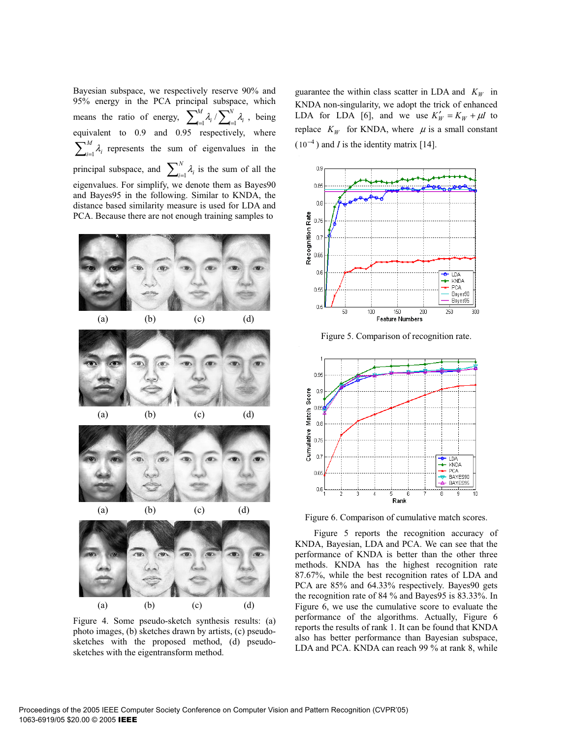Bayesian subspace, we respectively reserve 90% and 95% energy in the PCA principal subspace, which means the ratio of energy,  $\sum_{i=1}^{M} \lambda_i / \sum_{i=1}^{N}$  $\sum_{i=1}^{\infty}$ *M*  $\lim_{i=1}^n \lambda_i / \sum_{i=1}^n \lambda_i$ , being equivalent to 0.9 and 0.95 respectively, where  $\sum\nolimits_{i=1}^{M}$  $\prod_{i=1}^{n} \lambda_i$  represents the sum of eigenvalues in the principal subspace, and  $\sum_{i=1}^{N}$  $\prod_{i=1}^{n} \lambda_i$  is the sum of all the eigenvalues. For simplify, we denote them as Bayes90 and Bayes95 in the following. Similar to KNDA, the distance based similarity measure is used for LDA and PCA. Because there are not enough training samples to



Figure 4. Some pseudo-sketch synthesis results: (a) photo images, (b) sketches drawn by artists, (c) pseudosketches with the proposed method, (d) pseudosketches with the eigentransform method.

guarantee the within class scatter in LDA and  $K_W$  in KNDA non-singularity, we adopt the trick of enhanced LDA for LDA [6], and we use  $K'_W = K_W + \mu I$  to replace  $K_W$  for KNDA, where  $\mu$  is a small constant  $(10^{-4})$  and *I* is the identity matrix [14].



Figure 5. Comparison of recognition rate.



Figure 6. Comparison of cumulative match scores.

Figure 5 reports the recognition accuracy of KNDA, Bayesian, LDA and PCA. We can see that the performance of KNDA is better than the other three methods. KNDA has the highest recognition rate 87.67%, while the best recognition rates of LDA and PCA are 85% and 64.33% respectively. Bayes90 gets the recognition rate of 84 % and Bayes95 is 83.33%. In Figure 6, we use the cumulative score to evaluate the performance of the algorithms. Actually, Figure 6 reports the results of rank 1. It can be found that KNDA also has better performance than Bayesian subspace, LDA and PCA. KNDA can reach 99 % at rank 8, while